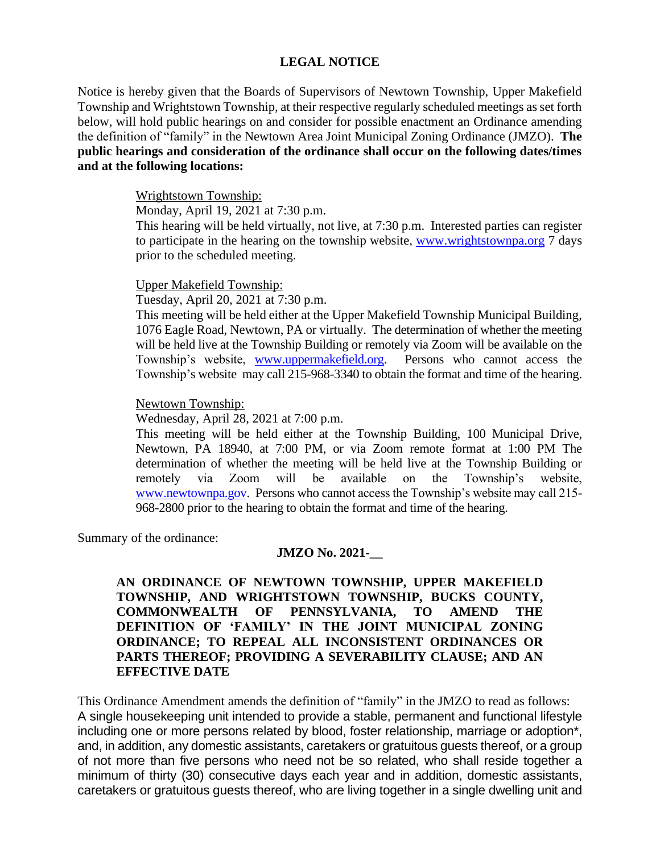## **LEGAL NOTICE**

Notice is hereby given that the Boards of Supervisors of Newtown Township, Upper Makefield Township and Wrightstown Township, at their respective regularly scheduled meetings as set forth below, will hold public hearings on and consider for possible enactment an Ordinance amending the definition of "family" in the Newtown Area Joint Municipal Zoning Ordinance (JMZO). **The public hearings and consideration of the ordinance shall occur on the following dates/times and at the following locations:**

## Wrightstown Township:

Monday, April 19, 2021 at 7:30 p.m.

This hearing will be held virtually, not live, at 7:30 p.m. Interested parties can register to participate in the hearing on the township website, [www.wrightstownpa.org](http://www.wrightstownpa.org/) 7 days prior to the scheduled meeting.

### Upper Makefield Township:

Tuesday, April 20, 2021 at 7:30 p.m.

This meeting will be held either at the Upper Makefield Township Municipal Building, 1076 Eagle Road, Newtown, PA or virtually. The determination of whether the meeting will be held live at the Township Building or remotely via Zoom will be available on the Township's website, [www.uppermakefield.org.](http://www.uppermakefield.org/) Persons who cannot access the Township's website may call 215-968-3340 to obtain the format and time of the hearing.

### Newtown Township:

Wednesday, April 28, 2021 at 7:00 p.m.

This meeting will be held either at the Township Building, 100 Municipal Drive, Newtown, PA 18940, at 7:00 PM, or via Zoom remote format at 1:00 PM The determination of whether the meeting will be held live at the Township Building or remotely via Zoom will be available on the Township's website, [www.newtownpa.gov.](http://www.newtownpa.gov/) Persons who cannot access the Township's website may call 215- 968-2800 prior to the hearing to obtain the format and time of the hearing.

Summary of the ordinance:

### **JMZO No. 2021-\_\_**

**AN ORDINANCE OF NEWTOWN TOWNSHIP, UPPER MAKEFIELD TOWNSHIP, AND WRIGHTSTOWN TOWNSHIP, BUCKS COUNTY, COMMONWEALTH OF PENNSYLVANIA, TO AMEND THE DEFINITION OF 'FAMILY' IN THE JOINT MUNICIPAL ZONING ORDINANCE; TO REPEAL ALL INCONSISTENT ORDINANCES OR PARTS THEREOF; PROVIDING A SEVERABILITY CLAUSE; AND AN EFFECTIVE DATE**

This Ordinance Amendment amends the definition of "family" in the JMZO to read as follows: A single housekeeping unit intended to provide a stable, permanent and functional lifestyle including one or more persons related by blood, foster relationship, marriage or adoption\*, and, in addition, any domestic assistants, caretakers or gratuitous guests thereof, or a group of not more than five persons who need not be so related, who shall reside together a minimum of thirty (30) consecutive days each year and in addition, domestic assistants, caretakers or gratuitous guests thereof, who are living together in a single dwelling unit and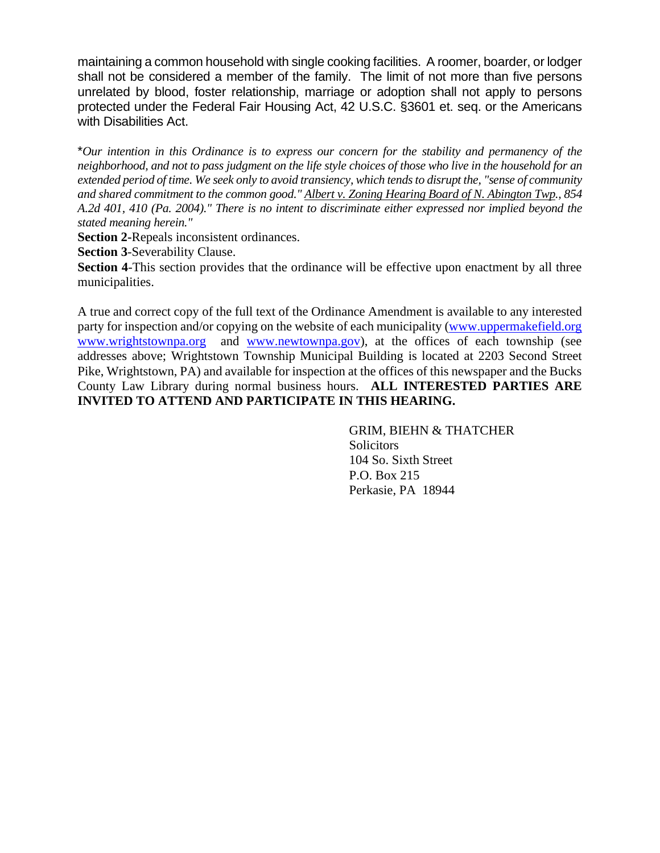maintaining a common household with single cooking facilities. A roomer, boarder, or lodger shall not be considered a member of the family. The limit of not more than five persons unrelated by blood, foster relationship, marriage or adoption shall not apply to persons protected under the Federal Fair Housing Act, 42 U.S.C. §3601 et. seq. or the Americans with Disabilities Act.

\**Our intention in this Ordinance is to express our concern for the stability and permanency of the neighborhood, and not to pass judgment on the life style choices of those who live in the household for an extended period of time. We seek only to avoid transiency, which tends to disrupt the, "sense of community and shared commitment to the common good." Albert v. Zoning Hearing Board of N. Abington Twp., 854 A.2d 401, 410 (Pa. 2004)." There is no intent to discriminate either expressed nor implied beyond the stated meaning herein."*

**Section 2-**Repeals inconsistent ordinances.

**Section 3**-Severability Clause.

**Section 4-This section provides that the ordinance will be effective upon enactment by all three** municipalities.

A true and correct copy of the full text of the Ordinance Amendment is available to any interested party for inspection and/or copying on the website of each municipality [\(www.uppermakefield.org](http://www.uppermakefield.org/)  [www.wrightstownpa.org](http://www.wrightstownpa.org/) and [www.newtownpa.gov\)](http://www.newtownpa.gov/), at the offices of each township (see addresses above; Wrightstown Township Municipal Building is located at 2203 Second Street Pike, Wrightstown, PA) and available for inspection at the offices of this newspaper and the Bucks County Law Library during normal business hours. **ALL INTERESTED PARTIES ARE INVITED TO ATTEND AND PARTICIPATE IN THIS HEARING.**

> GRIM, BIEHN & THATCHER **Solicitors** 104 So. Sixth Street P.O. Box 215 Perkasie, PA 18944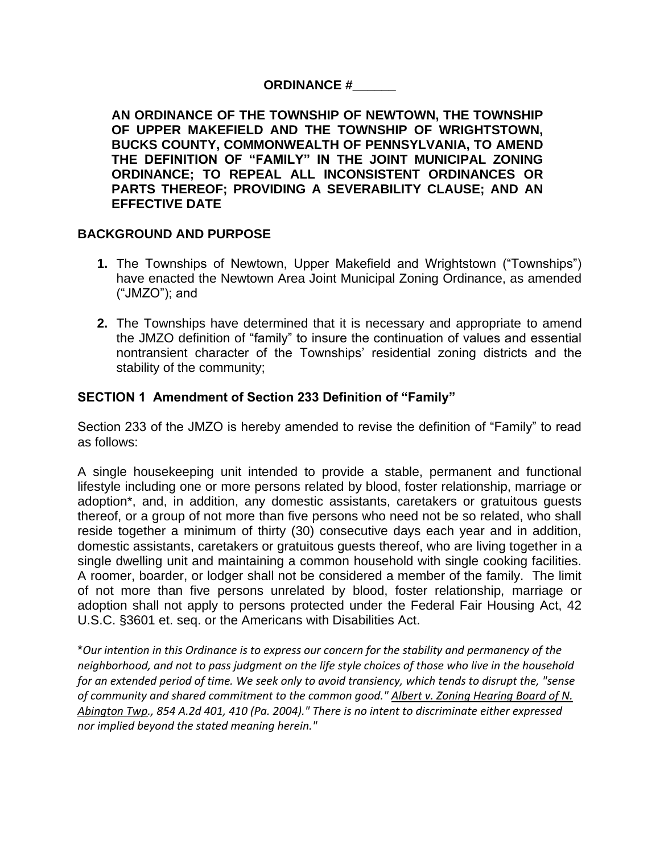# **ORDINANCE #\_\_\_\_\_\_**

**AN ORDINANCE OF THE TOWNSHIP OF NEWTOWN, THE TOWNSHIP OF UPPER MAKEFIELD AND THE TOWNSHIP OF WRIGHTSTOWN, BUCKS COUNTY, COMMONWEALTH OF PENNSYLVANIA, TO AMEND THE DEFINITION OF "FAMILY" IN THE JOINT MUNICIPAL ZONING ORDINANCE; TO REPEAL ALL INCONSISTENT ORDINANCES OR PARTS THEREOF; PROVIDING A SEVERABILITY CLAUSE; AND AN EFFECTIVE DATE**

# **BACKGROUND AND PURPOSE**

- **1.** The Townships of Newtown, Upper Makefield and Wrightstown ("Townships") have enacted the Newtown Area Joint Municipal Zoning Ordinance, as amended ("JMZO"); and
- **2.** The Townships have determined that it is necessary and appropriate to amend the JMZO definition of "family" to insure the continuation of values and essential nontransient character of the Townships' residential zoning districts and the stability of the community;

# **SECTION 1 Amendment of Section 233 Definition of "Family"**

Section 233 of the JMZO is hereby amended to revise the definition of "Family" to read as follows:

A single housekeeping unit intended to provide a stable, permanent and functional lifestyle including one or more persons related by blood, foster relationship, marriage or adoption\*, and, in addition, any domestic assistants, caretakers or gratuitous guests thereof, or a group of not more than five persons who need not be so related, who shall reside together a minimum of thirty (30) consecutive days each year and in addition, domestic assistants, caretakers or gratuitous guests thereof, who are living together in a single dwelling unit and maintaining a common household with single cooking facilities. A roomer, boarder, or lodger shall not be considered a member of the family. The limit of not more than five persons unrelated by blood, foster relationship, marriage or adoption shall not apply to persons protected under the Federal Fair Housing Act, 42 U.S.C. §3601 et. seq. or the Americans with Disabilities Act.

\**Our intention in this Ordinance is to express our concern for the stability and permanency of the neighborhood, and not to pass judgment on the life style choices of those who live in the household for an extended period of time. We seek only to avoid transiency, which tends to disrupt the, "sense of community and shared commitment to the common good." Albert v. Zoning Hearing Board of N. Abington Twp., 854 A.2d 401, 410 (Pa. 2004)." There is no intent to discriminate either expressed nor implied beyond the stated meaning herein."*